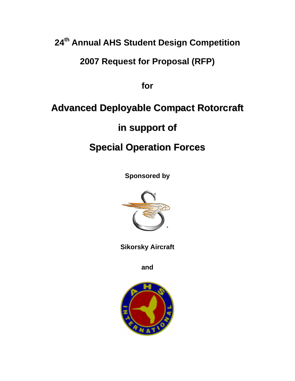# **24th Annual AHS Student Design Competition**

## **2007 Request for Proposal (RFP)**

**for** 

# **Advanced Deployable Compact Rotorcraft**

## **in support of**

# **Special Operation Forces**

**Sponsored by** 



**Sikorsky Aircraft** 

**and** 

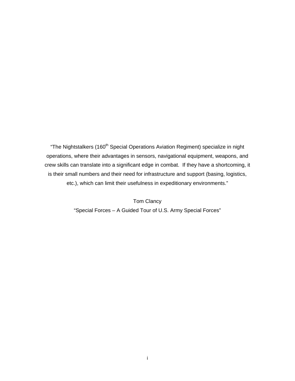"The Nightstalkers (160<sup>th</sup> Special Operations Aviation Regiment) specialize in night operations, where their advantages in sensors, navigational equipment, weapons, and crew skills can translate into a significant edge in combat. If they have a shortcoming, it is their small numbers and their need for infrastructure and support (basing, logistics, etc.), which can limit their usefulness in expeditionary environments."

> Tom Clancy "Special Forces – A Guided Tour of U.S. Army Special Forces"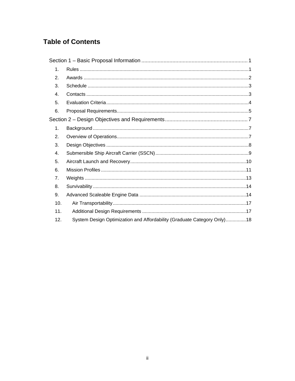## **Table of Contents**

| 1.             |                                                                         |  |
|----------------|-------------------------------------------------------------------------|--|
| 2.             |                                                                         |  |
| 3.             |                                                                         |  |
| 4.             |                                                                         |  |
| 5.             |                                                                         |  |
| 6.             |                                                                         |  |
|                |                                                                         |  |
| 1.             |                                                                         |  |
| $\mathbf{2}$ . |                                                                         |  |
| 3.             |                                                                         |  |
| $\mathbf{4}$ . |                                                                         |  |
| 5.             |                                                                         |  |
| 6.             |                                                                         |  |
| 7.             |                                                                         |  |
| 8.             |                                                                         |  |
| 9.             |                                                                         |  |
| 10.            |                                                                         |  |
| 11.            |                                                                         |  |
| 12.            | System Design Optimization and Affordability (Graduate Category Only)18 |  |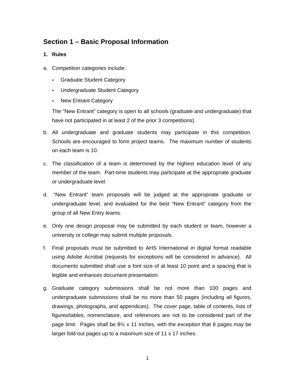## <span id="page-3-0"></span>**Section 1 – Basic Proposal Information**

- **1. Rules**
- a. Competition categories include:
	- Graduate Student Category
	- Undergraduate Student Category
	- New Entrant Category

The "New Entrant" category is open to all schools (graduate and undergraduate) that have not participated in at least 2 of the prior 3 competitions).

- b. All undergraduate and graduate students may participate in this competition. Schools are encouraged to form project teams. The maximum number of students on each team is 10.
- c. The classification of a team is determined by the highest education level of any member of the team. Part-time students may participate at the appropriate graduate or undergraduate level.
- d. "New Entrant" team proposals will be judged at the appropriate graduate or undergraduate level, and evaluated for the best "New Entrant" category from the group of all New Entry teams.
- e. Only one design proposal may be submitted by each student or team, however a university or college may submit multiple proposals.
- f. Final proposals must be submitted to AHS International in digital format readable using Adobe Acrobat (requests for exceptions will be considered in advance). All documents submitted shall use a font size of at least 10 point and a spacing that is legible and enhances document presentation.
- g. Graduate category submissions shall be not more than 100 pages and undergraduate submissions shall be no more than 50 pages (including all figures, drawings, photographs, and appendices). The cover page, table of contents, lists of figures/tables, nomenclature, and references are not to be considered part of the page limit. Pages shall be  $8\frac{1}{2}$  x 11 inches, with the exception that 8 pages may be larger fold-out pages up to a maximum size of 11 x 17 inches.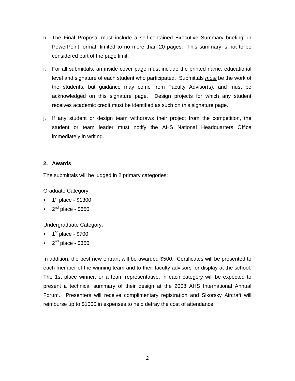- <span id="page-4-0"></span>h. The Final Proposal must include a self-contained Executive Summary briefing, in PowerPoint format, limited to no more than 20 pages. This summary is not to be considered part of the page limit.
- i. For all submittals, an inside cover page must include the printed name, educational level and signature of each student who participated. Submittals *must* be the work of the students, but guidance may come from Faculty Advisor(s), and must be acknowledged on this signature page. Design projects for which any student receives academic credit must be identified as such on this signature page.
- j. If any student or design team withdraws their project from the competition, the student or team leader must notify the AHS National Headquarters Office immediately in writing.

### **2. Awards**

The submittals will be judged in 2 primary categories:

Graduate Category:

- $\blacksquare$  1<sup>st</sup> place \$1300
- $\blacksquare$  2<sup>nd</sup> place \$650

Undergraduate Category:

- $\blacksquare$  1<sup>st</sup> place \$700
- $\blacksquare$  2<sup>nd</sup> place \$350

In addition, the best new entrant will be awarded \$500. Certificates will be presented to each member of the winning team and to their faculty advisors for display at the school. The 1st place winner, or a team representative, in each category will be expected to present a technical summary of their design at the 2008 AHS International Annual Forum. Presenters will receive complimentary registration and Sikorsky Aircraft will reimburse up to \$1000 in expenses to help defray the cost of attendance.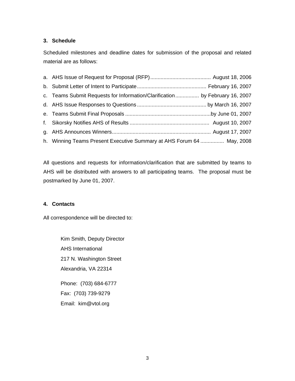## <span id="page-5-0"></span>**3. Schedule**

Scheduled milestones and deadline dates for submission of the proposal and related material are as follows:

| c. Teams Submit Requests for Information/Clarification by February 16, 2007 |  |
|-----------------------------------------------------------------------------|--|
|                                                                             |  |
|                                                                             |  |
|                                                                             |  |
|                                                                             |  |
| h. Winning Teams Present Executive Summary at AHS Forum 64  May, 2008       |  |

All questions and requests for information/clarification that are submitted by teams to AHS will be distributed with answers to all participating teams. The proposal must be postmarked by June 01, 2007.

## **4. Contacts**

All correspondence will be directed to:

Kim Smith, Deputy Director AHS International 217 N. Washington Street Alexandria, VA 22314 Phone: (703) 684-6777 Fax: (703) 739-9279 Email: kim@vtol.org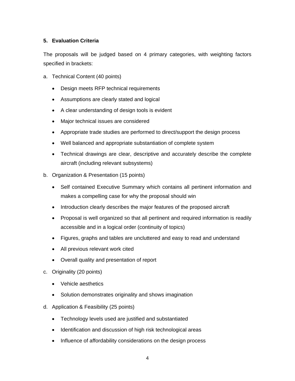## <span id="page-6-0"></span>**5. Evaluation Criteria**

The proposals will be judged based on 4 primary categories, with weighting factors specified in brackets:

- a. Technical Content (40 points)
	- Design meets RFP technical requirements
	- Assumptions are clearly stated and logical
	- A clear understanding of design tools is evident
	- Major technical issues are considered
	- Appropriate trade studies are performed to direct/support the design process
	- Well balanced and appropriate substantiation of complete system
	- Technical drawings are clear, descriptive and accurately describe the complete aircraft (including relevant subsystems)
- b. Organization & Presentation (15 points)
	- Self contained Executive Summary which contains all pertinent information and makes a compelling case for why the proposal should win
	- Introduction clearly describes the major features of the proposed aircraft
	- Proposal is well organized so that all pertinent and required information is readily accessible and in a logical order (continuity of topics)
	- Figures, graphs and tables are uncluttered and easy to read and understand
	- All previous relevant work cited
	- Overall quality and presentation of report
- c. Originality (20 points)
	- Vehicle aesthetics
	- Solution demonstrates originality and shows imagination
- d. Application & Feasibility (25 points)
	- Technology levels used are justified and substantiated
	- Identification and discussion of high risk technological areas
	- Influence of affordability considerations on the design process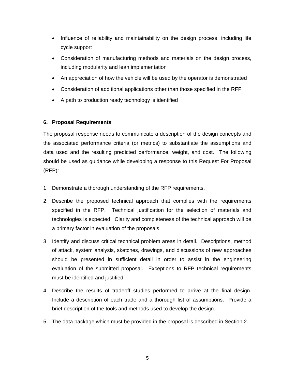- <span id="page-7-0"></span>• Influence of reliability and maintainability on the design process, including life cycle support
- Consideration of manufacturing methods and materials on the design process, including modularity and lean implementation
- An appreciation of how the vehicle will be used by the operator is demonstrated
- Consideration of additional applications other than those specified in the RFP
- A path to production ready technology is identified

#### **6. Proposal Requirements**

The proposal response needs to communicate a description of the design concepts and the associated performance criteria (or metrics) to substantiate the assumptions and data used and the resulting predicted performance, weight, and cost. The following should be used as guidance while developing a response to this Request For Proposal (RFP):

- 1. Demonstrate a thorough understanding of the RFP requirements.
- 2. Describe the proposed technical approach that complies with the requirements specified in the RFP. Technical justification for the selection of materials and technologies is expected. Clarity and completeness of the technical approach will be a primary factor in evaluation of the proposals.
- 3. Identify and discuss critical technical problem areas in detail. Descriptions, method of attack, system analysis, sketches, drawings, and discussions of new approaches should be presented in sufficient detail in order to assist in the engineering evaluation of the submitted proposal. Exceptions to RFP technical requirements must be identified and justified.
- 4. Describe the results of tradeoff studies performed to arrive at the final design. Include a description of each trade and a thorough list of assumptions. Provide a brief description of the tools and methods used to develop the design.
- 5. The data package which must be provided in the proposal is described in Section 2.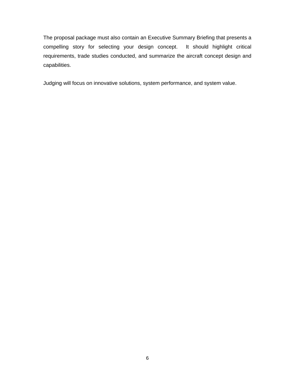The proposal package must also contain an Executive Summary Briefing that presents a compelling story for selecting your design concept. It should highlight critical requirements, trade studies conducted, and summarize the aircraft concept design and capabilities.

Judging will focus on innovative solutions, system performance, and system value.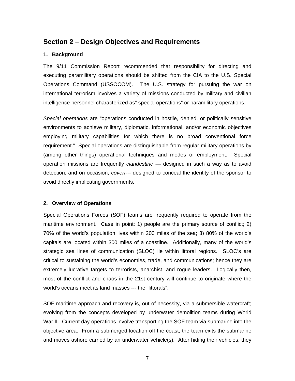## <span id="page-9-0"></span>**Section 2 – Design Objectives and Requirements**

### **1. Background**

The 9/11 Commission Report recommended that responsibility for directing and executing paramilitary operations should be shifted from the CIA to the U.S. Special Operations Command (USSOCOM). The U.S. strategy for pursuing the war on international terrorism involves a variety of missions conducted by military and civilian intelligence personnel characterized as" special operations" or paramilitary operations.

*Special operations* are "operations conducted in hostile, denied, or politically sensitive environments to achieve military, diplomatic, informational, and/or economic objectives employing military capabilities for which there is no broad conventional force requirement." Special operations are distinguishable from regular military operations by (among other things) operational techniques and modes of employment. Special operation missions are frequently *clandestine* — designed in such a way as to avoid detection; and on occasion, *covert*--- designed to conceal the identity of the sponsor to avoid directly implicating governments.

### **2. Overview of Operations**

Special Operations Forces (SOF) teams are frequently required to operate from the maritime environment. Case in point: 1) people are the primary source of conflict; 2) 70% of the world's population lives within 200 miles of the sea; 3) 80% of the world's capitals are located within 300 miles of a coastline. Additionally, many of the world's strategic sea lines of communication (SLOC) lie within littoral regions. SLOC's are critical to sustaining the world's economies, trade, and communications; hence they are extremely lucrative targets to terrorists, anarchist, and rogue leaders. Logically then, most of the conflict and chaos in the 21st century will continue to originate where the world's oceans meet its land masses --- the "littorals".

SOF maritime approach and recovery is, out of necessity, via a submersible watercraft; evolving from the concepts developed by underwater demolition teams during World War II. Current day operations involve transporting the SOF team via submarine into the objective area. From a submerged location off the coast, the team exits the submarine and moves ashore carried by an underwater vehicle(s). After hiding their vehicles, they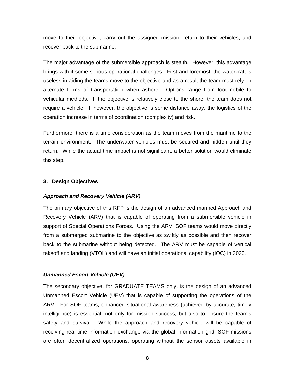<span id="page-10-0"></span>move to their objective, carry out the assigned mission, return to their vehicles, and recover back to the submarine.

The major advantage of the submersible approach is stealth. However, this advantage brings with it some serious operational challenges. First and foremost, the watercraft is useless in aiding the teams move to the objective and as a result the team must rely on alternate forms of transportation when ashore. Options range from foot-mobile to vehicular methods. If the objective is relatively close to the shore, the team does not require a vehicle. If however, the objective is some distance away, the logistics of the operation increase in terms of coordination (complexity) and risk.

Furthermore, there is a time consideration as the team moves from the maritime to the terrain environment. The underwater vehicles must be secured and hidden until they return. While the actual time impact is not significant, a better solution would eliminate this step.

#### **3. Design Objectives**

#### *Approach and Recovery Vehicle (ARV)*

The primary objective of this RFP is the design of an advanced manned Approach and Recovery Vehicle (ARV) that is capable of operating from a submersible vehicle in support of Special Operations Forces. Using the ARV, SOF teams would move directly from a submerged submarine to the objective as swiftly as possible and then recover back to the submarine without being detected. The ARV must be capable of vertical takeoff and landing (VTOL) and will have an initial operational capability (IOC) in 2020.

#### *Unmanned Escort Vehicle (UEV)*

The secondary objective, for GRADUATE TEAMS only, is the design of an advanced Unmanned Escort Vehicle (UEV) that is capable of supporting the operations of the ARV. For SOF teams, enhanced situational awareness (achieved by accurate, timely intelligence) is essential, not only for mission success, but also to ensure the team's safety and survival. While the approach and recovery vehicle will be capable of receiving real-time information exchange via the global information grid, SOF missions are often decentralized operations, operating without the sensor assets available in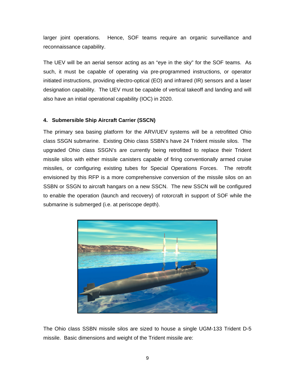<span id="page-11-0"></span>larger joint operations. Hence, SOF teams require an organic surveillance and reconnaissance capability.

The UEV will be an aerial sensor acting as an "eye in the sky" for the SOF teams. As such, it must be capable of operating via pre-programmed instructions, or operator initiated instructions, providing electro-optical (EO) and infrared (IR) sensors and a laser designation capability. The UEV must be capable of vertical takeoff and landing and will also have an initial operational capability (IOC) in 2020.

### **4. Submersible Ship Aircraft Carrier (SSCN)**

The primary sea basing platform for the ARV/UEV systems will be a retrofitted Ohio class SSGN submarine. Existing Ohio class SSBN's have 24 Trident missile silos. The upgraded Ohio class SSGN's are currently being retrofitted to replace their Trident missile silos with either missile canisters capable of firing conventionally armed cruise missiles, or configuring existing tubes for Special Operations Forces. The retrofit envisioned by this RFP is a more comprehensive conversion of the missile silos on an SSBN or SSGN to aircraft hangars on a new SSCN. The new SSCN will be configured to enable the operation (launch and recovery) of rotorcraft in support of SOF while the submarine is submerged (i.e. at periscope depth).



The Ohio class SSBN missile silos are sized to house a single UGM-133 Trident D-5 missile. Basic dimensions and weight of the Trident missile are: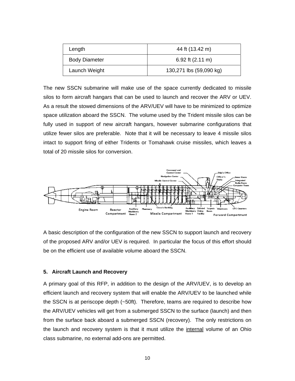<span id="page-12-0"></span>

| Length               | 44 ft (13.42 m)            |  |  |
|----------------------|----------------------------|--|--|
| <b>Body Diameter</b> | 6.92 ft $(2.11 \text{ m})$ |  |  |
| Launch Weight        | 130,271 lbs (59,090 kg)    |  |  |

The new SSCN submarine will make use of the space currently dedicated to missile silos to form aircraft hangars that can be used to launch and recover the ARV or UEV. As a result the stowed dimensions of the ARV/UEV will have to be minimized to optimize space utilization aboard the SSCN. The volume used by the Trident missile silos can be fully used in support of new aircraft hangars, however submarine configurations that utilize fewer silos are preferable. Note that it will be necessary to leave 4 missile silos intact to support firing of either Tridents or Tomahawk cruise missiles, which leaves a total of 20 missile silos for conversion.



A basic description of the configuration of the new SSCN to support launch and recovery of the proposed ARV and/or UEV is required. In particular the focus of this effort should be on the efficient use of available volume aboard the SSCN.

#### **5. Aircraft Launch and Recovery**

A primary goal of this RFP, in addition to the design of the ARV/UEV, is to develop an efficient launch and recovery system that will enable the ARV/UEV to be launched while the SSCN is at periscope depth (~50ft). Therefore, teams are required to describe how the ARV/UEV vehicles will get from a submerged SSCN to the surface (launch) and then from the surface back aboard a submerged SSCN (recovery). The only restrictions on the launch and recovery system is that it must utilize the internal volume of an Ohio class submarine, no external add-ons are permitted.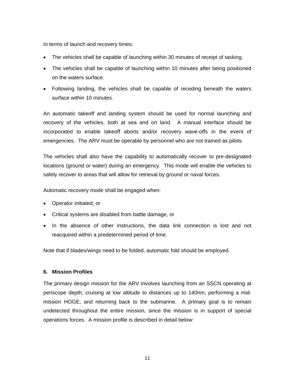<span id="page-13-0"></span>In terms of launch and recovery times:

- The vehicles shall be capable of launching within 30 minutes of receipt of tasking.
- The vehicles shall be capable of launching within 10 minutes after being positioned on the waters surface.
- Following landing, the vehicles shall be capable of receding beneath the waters surface within 10 minutes.

An automatic takeoff and landing system should be used for normal launching and recovery of the vehicles, both at sea and on land. A manual interface should be incorporated to enable takeoff aborts and/or recovery wave-offs in the event of emergencies. The ARV must be operable by personnel who are not trained as pilots.

The vehicles shall also have the capability to automatically recover to pre-designated locations (ground or water) during an emergency. This mode will enable the vehicles to safely recover to areas that will allow for retrieval by ground or naval forces.

Automatic recovery mode shall be engaged when:

- Operator initiated, or
- Critical systems are disabled from battle damage, or
- In the absence of other instructions, the data link connection is lost and not reacquired within a predetermined period of time.

Note that if blades/wings need to be folded, automatic fold should be employed.

#### **6. Mission Profiles**

The primary design mission for the ARV involves launching from an SSCN operating at periscope depth, cruising at low altitude to distances up to 140nm, performing a midmission HOGE, and returning back to the submarine. A primary goal is to remain undetected throughout the entire mission, since the mission is in support of special operations forces. A mission profile is described in detail below: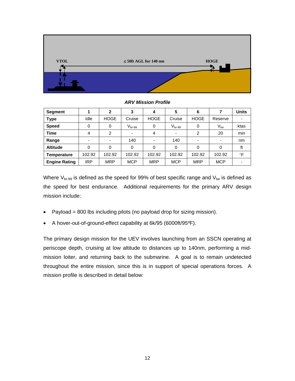

**Segment 1 2 3 4 5 6 7 Units Type I** Idle | HOGE | Cruise | Cruise | HOGE | Reserve | - $\textsf{Speed} \textcolor{white}{c|} \begin{tabular}{c|c|c|c|c|c|c|c} \textsf{Speed} & \textsf{0} & \textsf{0} & \textsf{V}_{\textsf{br}\text{-99}} & \textsf{0} & \textsf{V}_{\textsf{br}\text{-99}} & \textsf{0} & \textsf{V}_{\textsf{be}} & \textsf{0} & \textsf{ktas} \end{tabular}$ **Time** | 4 | 2 | - | 4 | - | 2 | 20 | min **Range** - - 140 - 140 - - nm **Altitude** 0 0 0 0 0 0 0 ft **Temperature** 102.92 102.92 102.92 102.92 102.92 102.92 102.92 °F Engine Rating | IRP | MRP | MCP | MRP | MCP | MCP | -

*ARV Mission Profile* 

Where  $V_{\text{br-99}}$  is defined as the speed for 99% of best specific range and  $V_{\text{be}}$  is defined as the speed for best endurance. Additional requirements for the primary ARV design mission include:

- Payload = 800 lbs including pilots (no payload drop for sizing mission).
- A hover-out-of-ground-effect capability at 6k/95 (6000ft/95ºF).

The primary design mission for the UEV involves launching from an SSCN operating at periscope depth, cruising at low altitude to distances up to 140nm, performing a midmission loiter, and returning back to the submarine. A goal is to remain undetected throughout the entire mission, since this is in support of special operations forces. A mission profile is described in detail below: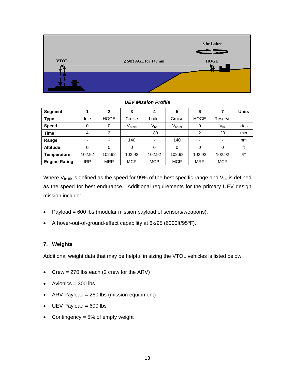<span id="page-15-0"></span>

*UEV Mission Profile* 

| Segment              |                          | 2           | 3           | 4          | 5           | 6           |            | <b>Units</b> |
|----------------------|--------------------------|-------------|-------------|------------|-------------|-------------|------------|--------------|
| <b>Type</b>          | Idle                     | <b>HOGE</b> | Cruise      | Loiter     | Cruise      | <b>HOGE</b> | Reserve    |              |
| <b>Speed</b>         | 0                        | 0           | $V_{br-99}$ | $V_{be}$   | $V_{br-99}$ | 0           | $V_{be}$   | ktas         |
| <b>Time</b>          | 4                        | 2           |             | 180        |             | 2           | 20         | min          |
| Range                | $\overline{\phantom{0}}$ |             | 140         | -          | 140         |             |            | nm           |
| <b>Altitude</b>      | 0                        |             | 0           | $\Omega$   | 0           | $\Omega$    | 0          | ft           |
| <b>Temperature</b>   | 102.92                   | 102.92      | 102.92      | 102.92     | 102.92      | 102.92      | 102.92     | $\circ$ F    |
| <b>Engine Rating</b> | <b>IRP</b>               | <b>MRP</b>  | <b>MCP</b>  | <b>MCP</b> | <b>MCP</b>  | <b>MRP</b>  | <b>MCP</b> |              |

Where  $V_{\text{br-99}}$  is defined as the speed for 99% of the best specific range and  $V_{\text{be}}$  is defined as the speed for best endurance. Additional requirements for the primary UEV design mission include:

- Payload = 600 lbs (modular mission payload of sensors/weapons).
- A hover-out-of-ground-effect capability at 6k/95 (6000ft/95ºF).

## **7. Weights**

Additional weight data that may be helpful in sizing the VTOL vehicles is listed below:

- Crew = 270 lbs each (2 crew for the ARV)
- $\bullet$  Avionics = 300 lbs
- ARV Payload = 260 lbs (mission equipment)
- $\bullet$  UEV Payload = 600 lbs
- Contingency = 5% of empty weight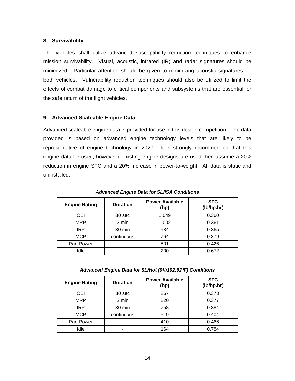### <span id="page-16-0"></span>**8. Survivability**

The vehicles shall utilize advanced susceptibility reduction techniques to enhance mission survivability. Visual, acoustic, infrared (IR) and radar signatures should be minimized. Particular attention should be given to minimizing acoustic signatures for both vehicles. Vulnerability reduction techniques should also be utilized to limit the effects of combat damage to critical components and subsystems that are essential for the safe return of the flight vehicles.

### **9. Advanced Scaleable Engine Data**

Advanced scaleable engine data is provided for use in this design competition. The data provided is based on advanced engine technology levels that are likely to be representative of engine technology in 2020. It is strongly recommended that this engine data be used, however if existing engine designs are used then assume a 20% reduction in engine SFC and a 20% increase in power-to-weight. All data is static and uninstalled.

| <b>Engine Rating</b> | <b>Duration</b> | <b>Power Available</b><br>(hp) | <b>SFC</b><br>(lb/hp.hr) |
|----------------------|-----------------|--------------------------------|--------------------------|
| OEI                  | 30 sec          | 1,049                          | 0.360                    |
| <b>MRP</b>           | 2 min           | 1,002                          | 0.361                    |
| <b>IRP</b>           | 30 min          | 934                            | 0.365                    |
| <b>MCP</b>           | continuous      | 764                            | 0.379                    |
| <b>Part Power</b>    | -               | 501                            | 0.426                    |
| Idle                 |                 | 200                            | 0.672                    |

*Advanced Engine Data for SL/ISA Conditions* 

*Advanced Engine Data for SL/Hot (0ft/102.92*°*F) Conditions* 

| <b>Engine Rating</b> | <b>Duration</b> | <b>Power Available</b><br>(hp) | <b>SFC</b><br>(lb/hp.hr) |
|----------------------|-----------------|--------------------------------|--------------------------|
| OEI                  | 30 sec          | 867                            | 0.373                    |
| <b>MRP</b>           | 2 min           | 820                            | 0.377                    |
| <b>IRP</b>           | 30 min          | 758                            | 0.384                    |
| <b>MCP</b>           | continuous      | 619                            | 0.404                    |
| Part Power           | -               | 410                            | 0.466                    |
| Idle                 |                 | 164                            | 0.784                    |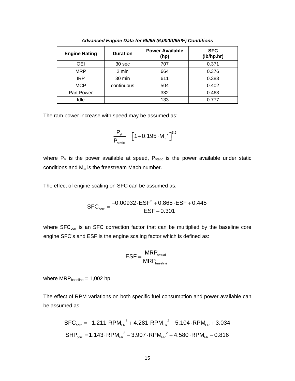| <b>Engine Rating</b> | <b>Duration</b> | <b>Power Available</b><br>(hp) | <b>SFC</b><br>(lb/hp.hr) |
|----------------------|-----------------|--------------------------------|--------------------------|
| OEI                  | 30 sec          | 707                            | 0.371                    |
| <b>MRP</b>           | 2 min           | 664                            | 0.376                    |
| <b>IRP</b>           | 30 min          | 611                            | 0.383                    |
| <b>MCP</b>           | continuous      | 504                            | 0.402                    |
| Part Power           |                 | 332                            | 0.463                    |
| Idle                 |                 | 133                            | በ 777                    |

*Advanced Engine Data for 6k/95 (6,000ft/95*°*F) Conditions* 

The ram power increase with speed may be assumed as:

$$
\frac{P_{V}}{P_{\text{static}}} = \left[1 + 0.195 \cdot M_{\text{m}}^{2}\right]^{3.5}
$$

where  $P_V$  is the power available at speed,  $P_{static}$  is the power available under static conditions and M∞ is the freestream Mach number.

The effect of engine scaling on SFC can be assumed as:

$$
SFC_{corr} = \frac{-0.00932 \cdot ESF^2 + 0.865 \cdot ESF + 0.445}{ESF + 0.301}
$$

where  $SFC<sub>corr</sub>$  is an SFC correction factor that can be multiplied by the baseline core engine SFC's and ESF is the engine scaling factor which is defined as:

$$
ESF = \frac{MRP_{actual}}{MRP_{baseline}}
$$

where  $MRP_{baseline} = 1,002$  hp.

The effect of RPM variations on both specific fuel consumption and power available can be assumed as:

$$
SFC_{corr} = -1.211 \cdot RPM_{FR}^{3} + 4.281 \cdot RPM_{FR}^{2} - 5.104 \cdot RPM_{FR} + 3.034
$$
  
\n
$$
SHP_{corr} = 1.143 \cdot RPM_{FR}^{3} - 3.907 \cdot RPM_{FR}^{2} + 4.580 \cdot RPM_{FR} - 0.816
$$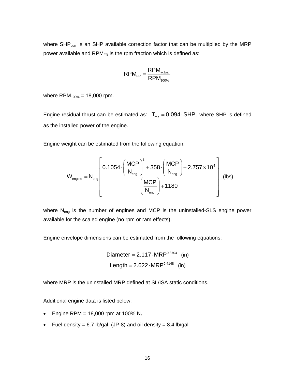where  $SHP_{corr}$  is an  $SHP$  available correction factor that can be multiplied by the MRP power available and RPM $_{FR}$  is the rpm fraction which is defined as:

$$
RPM_{FR} = \frac{RPM_{\text{actual}}}{RPM_{100\%}}
$$

where  $RPM_{100\%} = 18,000$  rpm.

Engine residual thrust can be estimated as:  $T_{res} = 0.094 \cdot SHP$ , where SHP is defined as the installed power of the engine.

Engine weight can be estimated from the following equation:

$$
W_{\text{engine}} = N_{\text{eng}} \left[ \frac{0.1054 \cdot \left(\frac{MCP}{N_{\text{eng}}}\right)^2 + 358 \cdot \left(\frac{MCP}{N_{\text{eng}}}\right) + 2.757 \times 10^4}{\left(\frac{MCP}{N_{\text{eng}}}\right) + 1180} \right] \text{ (lbs)}
$$

where N<sub>eng</sub> is the number of engines and MCP is the uninstalled-SLS engine power available for the scaled engine (no rpm or ram effects).

Engine envelope dimensions can be estimated from the following equations:

Diameter = 
$$
2.117 \cdot \text{MRP}^{0.3704}
$$
 (in)  
Length =  $2.622 \cdot \text{MRP}^{0.4148}$  (in)

where MRP is the uninstalled MRP defined at SL/ISA static conditions.

Additional engine data is listed below:

- Engine RPM = 18,000 rpm at 100%  $N_r$
- Fuel density = 6.7 lb/gal (JP-8) and oil density = 8.4 lb/gal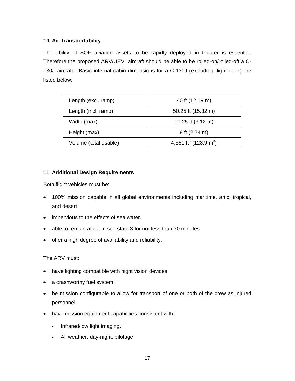## <span id="page-19-0"></span>**10. Air Transportability**

The ability of SOF aviation assets to be rapidly deployed in theater is essential. Therefore the proposed ARV/UEV aircraft should be able to be rolled-on/rolled-off a C-130J aircraft. Basic internal cabin dimensions for a C-130J (excluding flight deck) are listed below:

| Length (excl. ramp)   | 40 ft (12.19 m)                               |  |  |
|-----------------------|-----------------------------------------------|--|--|
| Length (incl. ramp)   | 50.25 ft (15.32 m)                            |  |  |
| Width (max)           | 10.25 ft $(3.12 \text{ m})$                   |  |  |
| Height (max)          | 9 ft $(2.74 \text{ m})$                       |  |  |
| Volume (total usable) | 4,551 ft <sup>3</sup> (128.9 m <sup>3</sup> ) |  |  |

## **11. Additional Design Requirements**

Both flight vehicles must be:

- 100% mission capable in all global environments including maritime, artic, tropical, and desert.
- impervious to the effects of sea water.
- able to remain afloat in sea state 3 for not less than 30 minutes.
- offer a high degree of availability and reliability.

## The ARV must:

- have lighting compatible with night vision devices.
- a crashworthy fuel system.
- be mission configurable to allow for transport of one or both of the crew as injured personnel.
- have mission equipment capabilities consistent with:
	- . Infrared/low light imaging.
	- All weather, day-night, pilotage.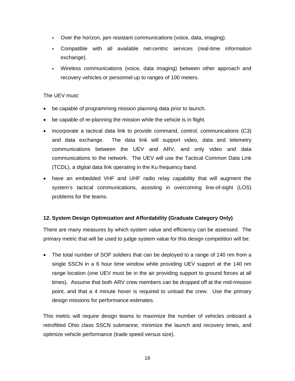- <span id="page-20-0"></span>Over the horizon, jam resistant communications (voice, data, imaging).
- Compatible with all available net-centric services (real-time information exchange).
- Wireless communications (voice, data imaging) between other approach and recovery vehicles or personnel up to ranges of 100 meters.

## The UEV must:

- be capable of programming mission planning data prior to launch.
- be capable of re-planning the mission while the vehicle is in flight.
- incorporate a tactical data link to provide command, control, communications (C3) and data exchange. The data link will support video, data and telemetry communications between the UEV and ARV, and only video and data communications to the network. The UEV will use the Tactical Common Data Link (TCDL), a digital data link operating in the Ku frequency band.
- have an embedded VHF and UHF radio relay capability that will augment the system's tactical communications, assisting in overcoming line-of-sight (LOS) problems for the teams.

## **12. System Design Optimization and Affordability (Graduate Category Only)**

There are many measures by which system value and efficiency can be assessed. The primary metric that will be used to judge system value for this design competition will be:

• The total number of SOF soldiers that can be deployed to a range of 140 nm from a single SSCN in a 6 hour time window while providing UEV support at the 140 nm range location (one UEV must be in the air providing support to ground forces at all times). Assume that both ARV crew members can be dropped off at the mid-mission point, and that a 4 minute hover is required to unload the crew. Use the primary design missions for performance estimates.

This metric will require design teams to maximize the number of vehicles onboard a retrofitted Ohio class SSCN submarine, minimize the launch and recovery times, and optimize vehicle performance (trade speed versus size).